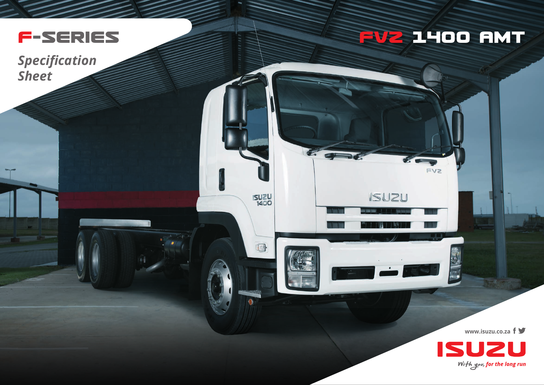

*Specification Sheet*

## **FVZ 14OO AMT**

**FV2** 

**ISUZU** 

E. OF

**ISUZU** 

 $\blacksquare$ 

**www.isuzu.co.za**